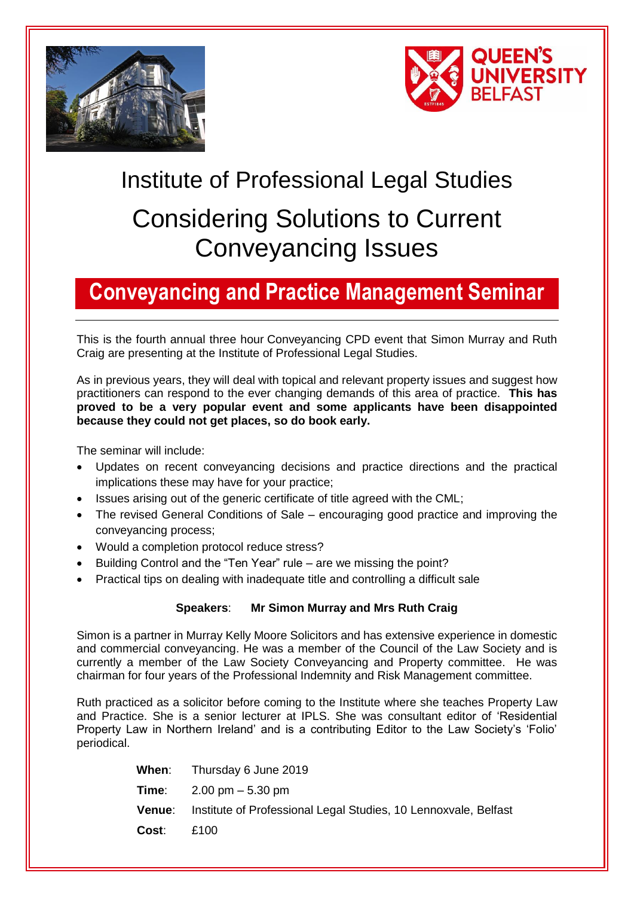



# Institute of Professional Legal Studies Considering Solutions to Current Conveyancing Issues

#### **Conveyancing and Practice Management Seminar**

This is the fourth annual three hour Conveyancing CPD event that Simon Murray and Ruth Craig are presenting at the Institute of Professional Legal Studies.

As in previous years, they will deal with topical and relevant property issues and suggest how practitioners can respond to the ever changing demands of this area of practice. **This has proved to be a very popular event and some applicants have been disappointed because they could not get places, so do book early.**

The seminar will include:

- Updates on recent conveyancing decisions and practice directions and the practical implications these may have for your practice;
- Issues arising out of the generic certificate of title agreed with the CML:
- The revised General Conditions of Sale encouraging good practice and improving the conveyancing process;
- Would a completion protocol reduce stress?
- Building Control and the "Ten Year" rule are we missing the point?
- Practical tips on dealing with inadequate title and controlling a difficult sale

#### **Speakers**: **Mr Simon Murray and Mrs Ruth Craig**

Simon is a partner in Murray Kelly Moore Solicitors and has extensive experience in domestic and commercial conveyancing. He was a member of the Council of the Law Society and is currently a member of the Law Society Conveyancing and Property committee. He was chairman for four years of the Professional Indemnity and Risk Management committee.

Ruth practiced as a solicitor before coming to the Institute where she teaches Property Law and Practice. She is a senior lecturer at IPLS. She was consultant editor of 'Residential Property Law in Northern Ireland' and is a contributing Editor to the Law Society's 'Folio' periodical.

|        | <b>When:</b> Thursday 6 June 2019                               |
|--------|-----------------------------------------------------------------|
|        | <b>Time:</b> $2.00 \text{ pm} - 5.30 \text{ pm}$                |
| Venue: | Institute of Professional Legal Studies, 10 Lennoxvale, Belfast |
| Cost:  | £100                                                            |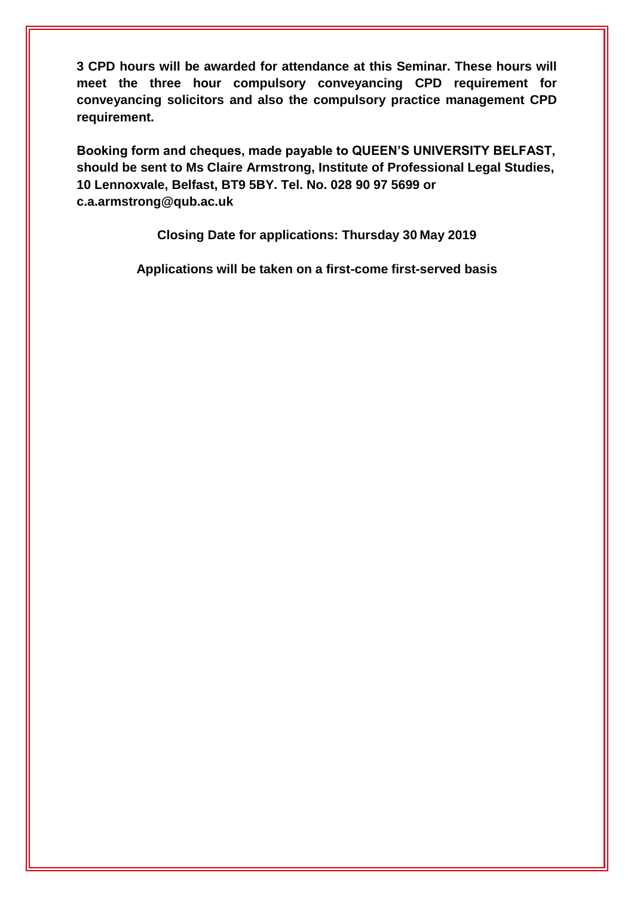**3 CPD hours will be awarded for attendance at this Seminar. These hours will meet the three hour compulsory conveyancing CPD requirement for conveyancing solicitors and also the compulsory practice management CPD requirement.** 

**Booking form and cheques, made payable to QUEEN'S UNIVERSITY BELFAST, should be sent to Ms Claire Armstrong, Institute of Professional Legal Studies, 10 Lennoxvale, Belfast, BT9 5BY. Tel. No. 028 90 97 5699 or c.a.armstrong@qub.ac.uk** 

**Closing Date for applications: Thursday 30 May 2019**

**Applications will be taken on a first-come first-served basis**